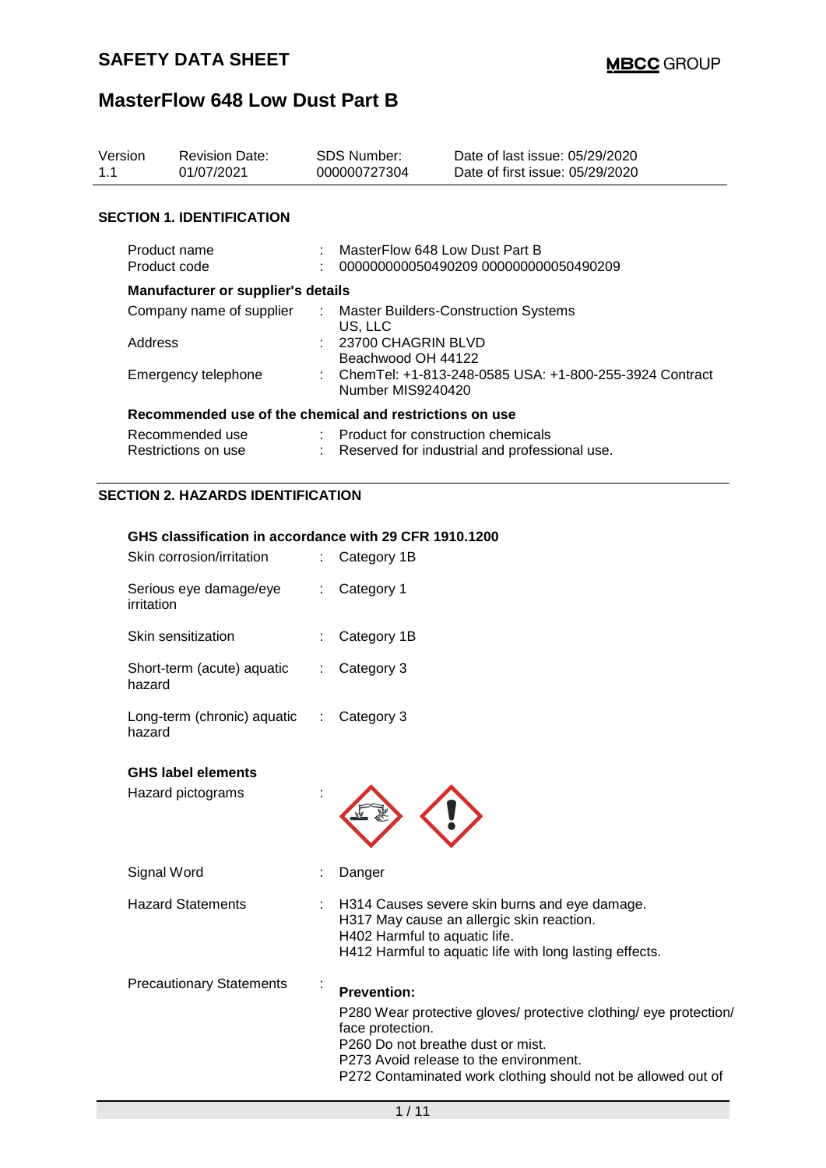| Version<br>1.1                                          |                              | <b>Revision Date:</b><br>01/07/2021                    | <b>SDS Number:</b><br>000000727304 |                                                                             | Date of last issue: 05/29/2020<br>Date of first issue: 05/29/2020 |  |  |
|---------------------------------------------------------|------------------------------|--------------------------------------------------------|------------------------------------|-----------------------------------------------------------------------------|-------------------------------------------------------------------|--|--|
|                                                         |                              | <b>SECTION 1. IDENTIFICATION</b>                       |                                    |                                                                             |                                                                   |  |  |
|                                                         | Product name<br>Product code |                                                        |                                    | MasterFlow 648 Low Dust Part B<br>000000000050490209 0000000000050490209    |                                                                   |  |  |
|                                                         |                              | Manufacturer or supplier's details                     |                                    |                                                                             |                                                                   |  |  |
|                                                         |                              | Company name of supplier                               | ÷                                  |                                                                             | <b>Master Builders-Construction Systems</b>                       |  |  |
|                                                         | Address                      |                                                        |                                    | US, LLC<br>23700 CHAGRIN BLVD<br>Beachwood OH 44122                         |                                                                   |  |  |
|                                                         | Emergency telephone          |                                                        |                                    | ChemTel: +1-813-248-0585 USA: +1-800-255-3924 Contract<br>Number MIS9240420 |                                                                   |  |  |
| Recommended use of the chemical and restrictions on use |                              |                                                        |                                    |                                                                             |                                                                   |  |  |
|                                                         |                              | Recommended use                                        |                                    | : Product for construction chemicals                                        |                                                                   |  |  |
|                                                         | Restrictions on use          |                                                        |                                    | Reserved for industrial and professional use.                               |                                                                   |  |  |
| <b>SECTION 2. HAZARDS IDENTIFICATION</b>                |                              |                                                        |                                    |                                                                             |                                                                   |  |  |
|                                                         |                              | GHS classification in accordance with 29 CFR 1910.1200 |                                    |                                                                             |                                                                   |  |  |
|                                                         | Skin corrosion/irritation    |                                                        | ÷.                                 | Category 1B                                                                 |                                                                   |  |  |
|                                                         | irritation                   | Serious eye damage/eye                                 | ÷                                  | Category 1                                                                  |                                                                   |  |  |
|                                                         | Skin sensitization           |                                                        |                                    | Category 1B                                                                 |                                                                   |  |  |

| Short-term (acute) aquatic<br>hazard  | $\therefore$ Category 3 |
|---------------------------------------|-------------------------|
| Long-term (chronic) aquatic<br>hazard | $\therefore$ Category 3 |

### **GHS label elements**

| Hazard pictograms               |                |                                                                                                                                                                                                                                                            |
|---------------------------------|----------------|------------------------------------------------------------------------------------------------------------------------------------------------------------------------------------------------------------------------------------------------------------|
| Signal Word                     |                | Danger                                                                                                                                                                                                                                                     |
| <b>Hazard Statements</b>        |                | : H314 Causes severe skin burns and eye damage.<br>H317 May cause an allergic skin reaction.<br>H402 Harmful to aquatic life.<br>H412 Harmful to aquatic life with long lasting effects.                                                                   |
| <b>Precautionary Statements</b> | $\blacksquare$ | <b>Prevention:</b><br>P280 Wear protective gloves/ protective clothing/ eye protection/<br>face protection.<br>P260 Do not breathe dust or mist.<br>P273 Avoid release to the environment.<br>P272 Contaminated work clothing should not be allowed out of |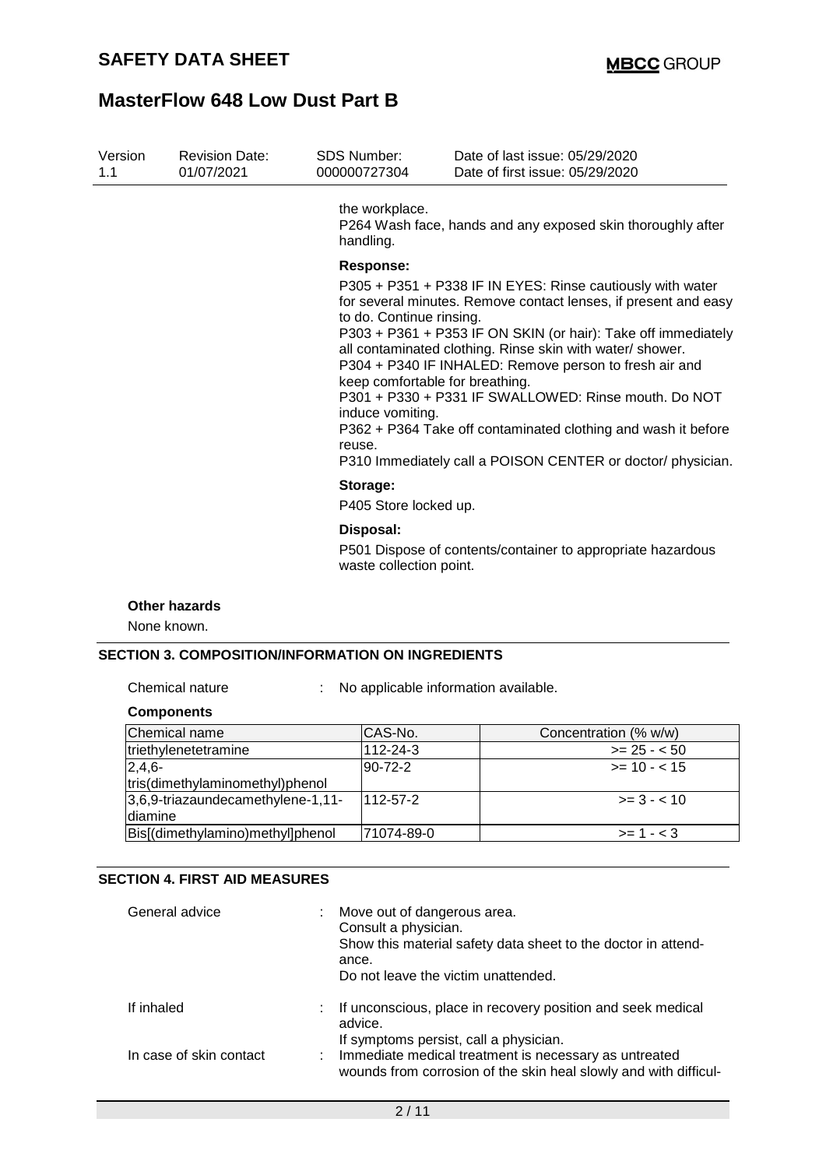| Version<br>1.1 | <b>Revision Date:</b><br>01/07/2021 | SDS Number:<br>000000727304                                                | Date of last issue: 05/29/2020<br>Date of first issue: 05/29/2020                                                                                                                                                                                                                                                                                                                                                                                                                                                                                |
|----------------|-------------------------------------|----------------------------------------------------------------------------|--------------------------------------------------------------------------------------------------------------------------------------------------------------------------------------------------------------------------------------------------------------------------------------------------------------------------------------------------------------------------------------------------------------------------------------------------------------------------------------------------------------------------------------------------|
|                |                                     | the workplace.<br>handling.                                                | P264 Wash face, hands and any exposed skin thoroughly after                                                                                                                                                                                                                                                                                                                                                                                                                                                                                      |
|                |                                     | <b>Response:</b><br>to do. Continue rinsing.<br>induce vomiting.<br>reuse. | P305 + P351 + P338 IF IN EYES: Rinse cautiously with water<br>for several minutes. Remove contact lenses, if present and easy<br>P303 + P361 + P353 IF ON SKIN (or hair): Take off immediately<br>all contaminated clothing. Rinse skin with water/ shower.<br>P304 + P340 IF INHALED: Remove person to fresh air and<br>keep comfortable for breathing.<br>P301 + P330 + P331 IF SWALLOWED: Rinse mouth. Do NOT<br>P362 + P364 Take off contaminated clothing and wash it before<br>P310 Immediately call a POISON CENTER or doctor/ physician. |
|                |                                     | Storage:<br>P405 Store locked up.                                          |                                                                                                                                                                                                                                                                                                                                                                                                                                                                                                                                                  |
|                |                                     | Disposal:<br>waste collection point.                                       | P501 Dispose of contents/container to appropriate hazardous                                                                                                                                                                                                                                                                                                                                                                                                                                                                                      |
|                | Other hazards<br>None known.        |                                                                            |                                                                                                                                                                                                                                                                                                                                                                                                                                                                                                                                                  |

#### **SECTION 3. COMPOSITION/INFORMATION ON INGREDIENTS**

Chemical nature : No applicable information available.

#### **Components**

| Chemical name                     | CAS-No.    | Concentration (% w/w) |
|-----------------------------------|------------|-----------------------|
| triethylenetetramine              | 112-24-3   | $>= 25 - 50$          |
| $2,4,6-$                          | 90-72-2    | $>= 10 - 15$          |
| tris(dimethylaminomethyl)phenol   |            |                       |
| 3,6,9-triazaundecamethylene-1,11- | 112-57-2   | $>= 3 - 10$           |
| diamine                           |            |                       |
| Bis[(dimethylamino)methyl]phenol  | 71074-89-0 | $>= 1 - 3$            |

## **SECTION 4. FIRST AID MEASURES**

| General advice          | Move out of dangerous area.<br>Consult a physician.<br>Show this material safety data sheet to the doctor in attend-<br>ance.<br>Do not leave the victim unattended.  |
|-------------------------|-----------------------------------------------------------------------------------------------------------------------------------------------------------------------|
| If inhaled              | : If unconscious, place in recovery position and seek medical<br>advice.                                                                                              |
| In case of skin contact | If symptoms persist, call a physician.<br>: Immediate medical treatment is necessary as untreated<br>wounds from corrosion of the skin heal slowly and with difficul- |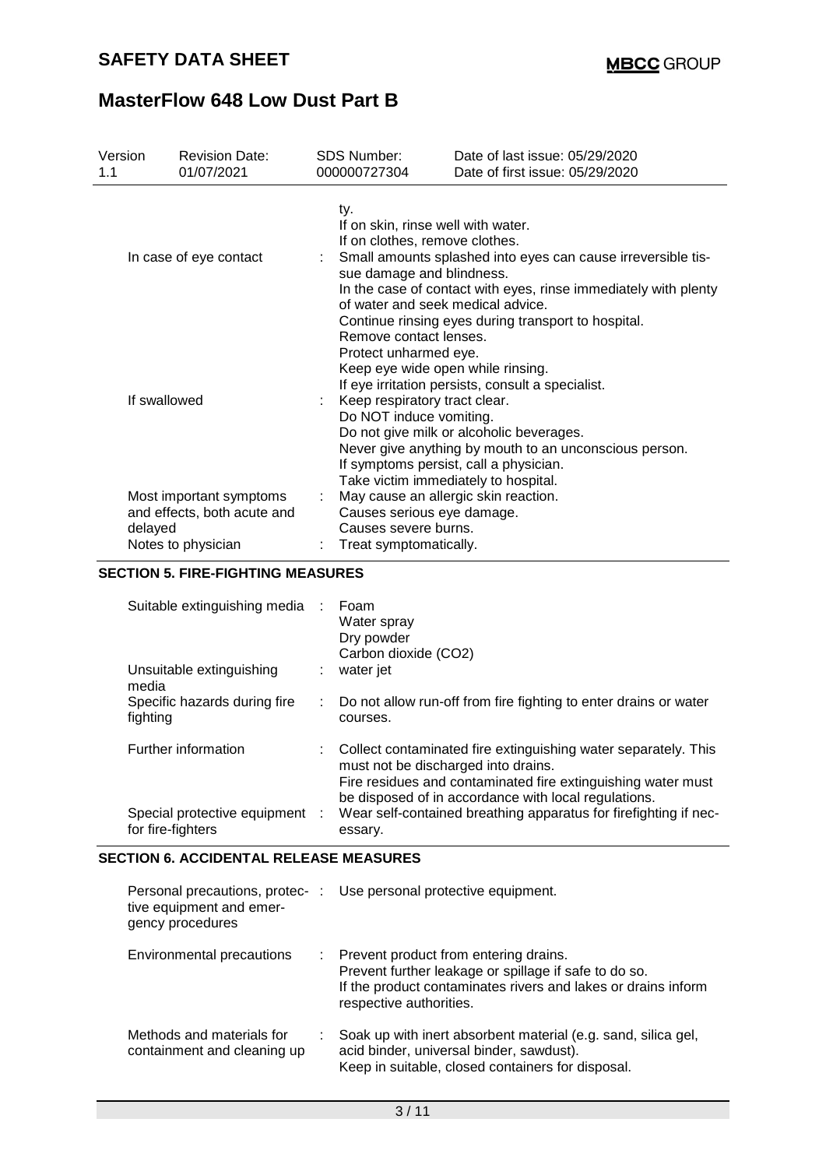| Version<br>1.1         | <b>Revision Date:</b><br>01/07/2021                                          | SDS Number:<br>000000727304                                                                                                                                                                                                                 | Date of last issue: 05/29/2020<br>Date of first issue: 05/29/2020                                                                                                                                                                                        |  |  |  |
|------------------------|------------------------------------------------------------------------------|---------------------------------------------------------------------------------------------------------------------------------------------------------------------------------------------------------------------------------------------|----------------------------------------------------------------------------------------------------------------------------------------------------------------------------------------------------------------------------------------------------------|--|--|--|
| In case of eye contact |                                                                              | ty.<br>If on skin, rinse well with water.<br>If on clothes, remove clothes.<br>Small amounts splashed into eyes can cause irreversible tis-<br>sue damage and blindness.<br>In the case of contact with eyes, rinse immediately with plenty |                                                                                                                                                                                                                                                          |  |  |  |
| If swallowed           |                                                                              | of water and seek medical advice.<br>Remove contact lenses.<br>Protect unharmed eye.<br>Keep eye wide open while rinsing.<br>Keep respiratory tract clear.<br>Do NOT induce vomiting.                                                       | Continue rinsing eyes during transport to hospital.<br>If eye irritation persists, consult a specialist.<br>Do not give milk or alcoholic beverages.<br>Never give anything by mouth to an unconscious person.<br>If symptoms persist, call a physician. |  |  |  |
| delayed                | Most important symptoms<br>and effects, both acute and<br>Notes to physician | Take victim immediately to hospital.<br>May cause an allergic skin reaction.<br>Causes serious eye damage.<br>Causes severe burns.<br>Treat symptomatically.                                                                                |                                                                                                                                                                                                                                                          |  |  |  |

### **SECTION 5. FIRE-FIGHTING MEASURES**

| Suitable extinguishing media<br>Unsuitable extinguishing<br>media | Foam<br>Water spray<br>Dry powder<br>Carbon dioxide (CO2)<br>water jet                                                                                                                                                        |
|-------------------------------------------------------------------|-------------------------------------------------------------------------------------------------------------------------------------------------------------------------------------------------------------------------------|
| Specific hazards during fire<br>fighting                          | : Do not allow run-off from fire fighting to enter drains or water<br>courses.                                                                                                                                                |
| Further information                                               | Collect contaminated fire extinguishing water separately. This<br>must not be discharged into drains.<br>Fire residues and contaminated fire extinguishing water must<br>be disposed of in accordance with local regulations. |
| Special protective equipment :<br>for fire-fighters               | Wear self-contained breathing apparatus for firefighting if nec-<br>essary.                                                                                                                                                   |

### **SECTION 6. ACCIDENTAL RELEASE MEASURES**

| tive equipment and emer-<br>gency procedures             | Personal precautions, protec- : Use personal protective equipment.                                                                                                                           |
|----------------------------------------------------------|----------------------------------------------------------------------------------------------------------------------------------------------------------------------------------------------|
| Environmental precautions                                | : Prevent product from entering drains.<br>Prevent further leakage or spillage if safe to do so.<br>If the product contaminates rivers and lakes or drains inform<br>respective authorities. |
| Methods and materials for<br>containment and cleaning up | Soak up with inert absorbent material (e.g. sand, silica gel,<br>acid binder, universal binder, sawdust).<br>Keep in suitable, closed containers for disposal.                               |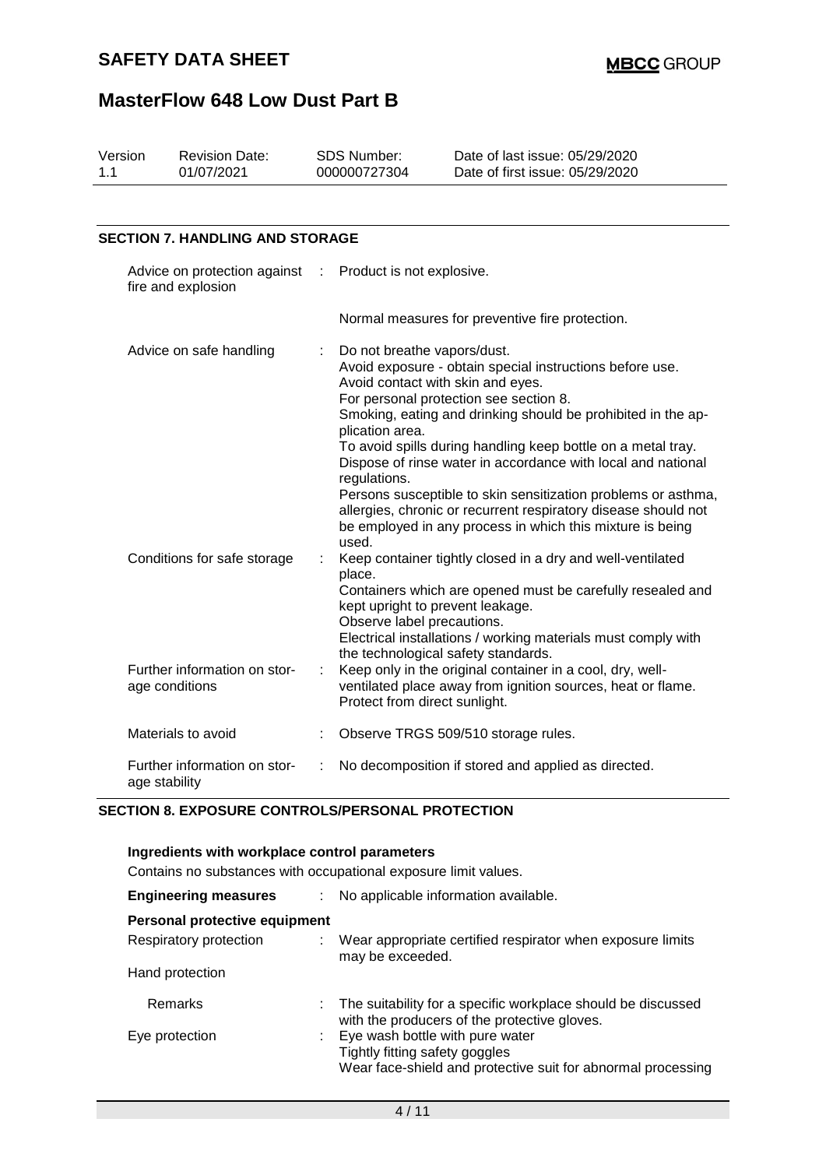| Version<br>1.1 | <b>Revision Date:</b><br>01/07/2021                |   | SDS Number:<br>000000727304                                                                                  | Date of last issue: 05/29/2020<br>Date of first issue: 05/29/2020                                                                                                                                                                                                                                                                                                                                                                                                                                  |
|----------------|----------------------------------------------------|---|--------------------------------------------------------------------------------------------------------------|----------------------------------------------------------------------------------------------------------------------------------------------------------------------------------------------------------------------------------------------------------------------------------------------------------------------------------------------------------------------------------------------------------------------------------------------------------------------------------------------------|
|                | <b>SECTION 7. HANDLING AND STORAGE</b>             |   |                                                                                                              |                                                                                                                                                                                                                                                                                                                                                                                                                                                                                                    |
|                | Advice on protection against<br>fire and explosion | ÷ | Product is not explosive.                                                                                    |                                                                                                                                                                                                                                                                                                                                                                                                                                                                                                    |
|                |                                                    |   |                                                                                                              | Normal measures for preventive fire protection.                                                                                                                                                                                                                                                                                                                                                                                                                                                    |
|                | Advice on safe handling                            |   | Do not breathe vapors/dust.<br>Avoid contact with skin and eyes.<br>plication area.<br>regulations.<br>used. | Avoid exposure - obtain special instructions before use.<br>For personal protection see section 8.<br>Smoking, eating and drinking should be prohibited in the ap-<br>To avoid spills during handling keep bottle on a metal tray.<br>Dispose of rinse water in accordance with local and national<br>Persons susceptible to skin sensitization problems or asthma,<br>allergies, chronic or recurrent respiratory disease should not<br>be employed in any process in which this mixture is being |
|                | Conditions for safe storage                        |   | place.<br>kept upright to prevent leakage.<br>Observe label precautions.                                     | Keep container tightly closed in a dry and well-ventilated<br>Containers which are opened must be carefully resealed and<br>Electrical installations / working materials must comply with<br>the technological safety standards.                                                                                                                                                                                                                                                                   |
|                | Further information on stor-<br>age conditions     | ÷ | Protect from direct sunlight.                                                                                | Keep only in the original container in a cool, dry, well-<br>ventilated place away from ignition sources, heat or flame.                                                                                                                                                                                                                                                                                                                                                                           |
|                | Materials to avoid                                 |   |                                                                                                              | Observe TRGS 509/510 storage rules.                                                                                                                                                                                                                                                                                                                                                                                                                                                                |
|                | Further information on stor-<br>age stability      | ÷ |                                                                                                              | No decomposition if stored and applied as directed.                                                                                                                                                                                                                                                                                                                                                                                                                                                |

#### **SECTION 8. EXPOSURE CONTROLS/PERSONAL PROTECTION**

| Ingredients with workplace control parameters<br>Contains no substances with occupational exposure limit values. |                                                                                                                                   |  |  |  |
|------------------------------------------------------------------------------------------------------------------|-----------------------------------------------------------------------------------------------------------------------------------|--|--|--|
| <b>Engineering measures</b>                                                                                      | : No applicable information available.                                                                                            |  |  |  |
| Personal protective equipment                                                                                    |                                                                                                                                   |  |  |  |
| Respiratory protection                                                                                           | Wear appropriate certified respirator when exposure limits<br>may be exceeded.                                                    |  |  |  |
| Hand protection                                                                                                  |                                                                                                                                   |  |  |  |
| Remarks                                                                                                          | The suitability for a specific workplace should be discussed<br>with the producers of the protective gloves.                      |  |  |  |
| Eye protection                                                                                                   | Eye wash bottle with pure water<br>Tightly fitting safety goggles<br>Wear face-shield and protective suit for abnormal processing |  |  |  |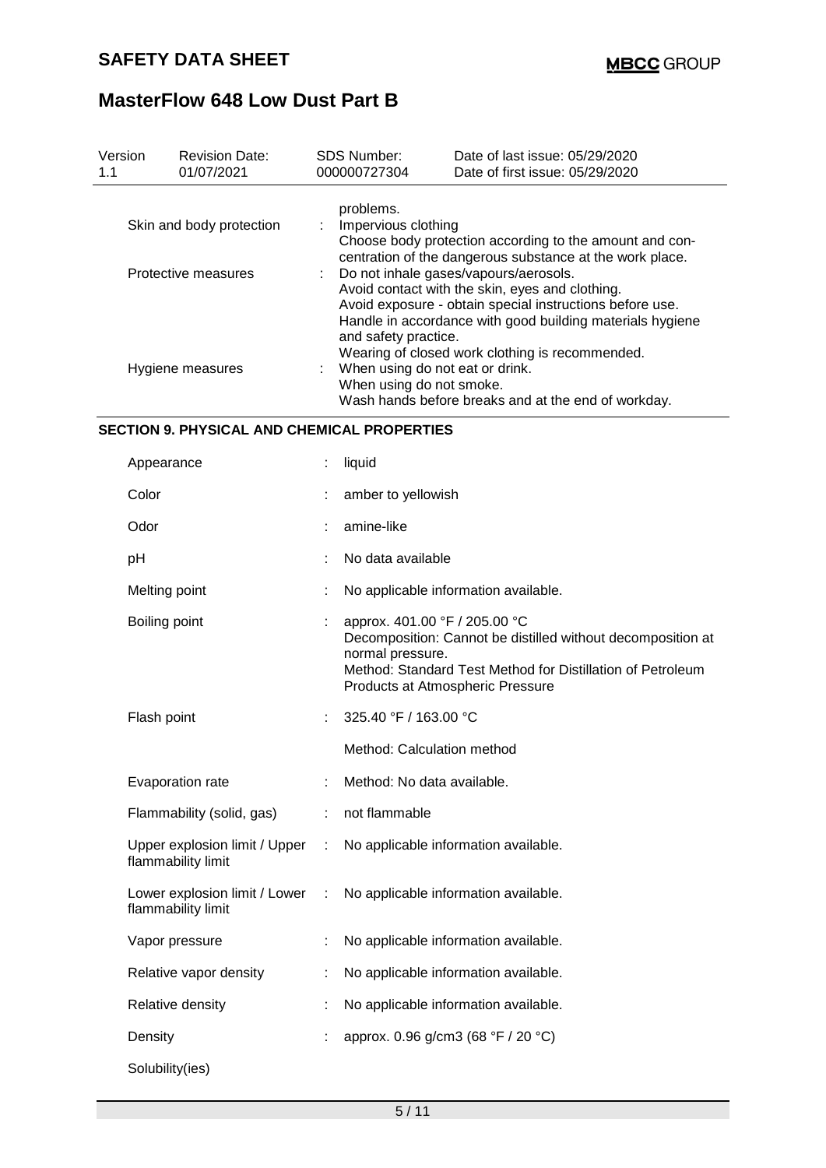| Version<br>1.1 | <b>Revision Date:</b><br>01/07/2021                 |   | SDS Number:<br>000000727304                                                                                                                                                                                                               | Date of last issue: 05/29/2020<br>Date of first issue: 05/29/2020                                                                                             |  |  |  |  |
|----------------|-----------------------------------------------------|---|-------------------------------------------------------------------------------------------------------------------------------------------------------------------------------------------------------------------------------------------|---------------------------------------------------------------------------------------------------------------------------------------------------------------|--|--|--|--|
|                | Skin and body protection                            |   | problems.<br>Impervious clothing<br>Choose body protection according to the amount and con-<br>centration of the dangerous substance at the work place.                                                                                   |                                                                                                                                                               |  |  |  |  |
|                | Protective measures                                 |   | Do not inhale gases/vapours/aerosols.<br>Avoid contact with the skin, eyes and clothing.<br>Avoid exposure - obtain special instructions before use.<br>Handle in accordance with good building materials hygiene<br>and safety practice. |                                                                                                                                                               |  |  |  |  |
|                | Hygiene measures                                    |   | When using do not eat or drink.<br>When using do not smoke.                                                                                                                                                                               | Wearing of closed work clothing is recommended.<br>Wash hands before breaks and at the end of workday.                                                        |  |  |  |  |
|                | <b>SECTION 9. PHYSICAL AND CHEMICAL PROPERTIES</b>  |   |                                                                                                                                                                                                                                           |                                                                                                                                                               |  |  |  |  |
|                | Appearance                                          |   | liquid                                                                                                                                                                                                                                    |                                                                                                                                                               |  |  |  |  |
|                | Color                                               |   | amber to yellowish                                                                                                                                                                                                                        |                                                                                                                                                               |  |  |  |  |
|                | Odor                                                |   | amine-like                                                                                                                                                                                                                                |                                                                                                                                                               |  |  |  |  |
|                | pH                                                  |   | No data available                                                                                                                                                                                                                         |                                                                                                                                                               |  |  |  |  |
|                | Melting point                                       |   |                                                                                                                                                                                                                                           | No applicable information available.                                                                                                                          |  |  |  |  |
|                | Boiling point                                       |   | approx. 401.00 °F / 205.00 °C<br>normal pressure.                                                                                                                                                                                         | Decomposition: Cannot be distilled without decomposition at<br>Method: Standard Test Method for Distillation of Petroleum<br>Products at Atmospheric Pressure |  |  |  |  |
|                | Flash point                                         |   | 325.40 °F / 163.00 °C                                                                                                                                                                                                                     |                                                                                                                                                               |  |  |  |  |
|                |                                                     |   | Method: Calculation method                                                                                                                                                                                                                |                                                                                                                                                               |  |  |  |  |
|                | Evaporation rate                                    |   | Method: No data available.                                                                                                                                                                                                                |                                                                                                                                                               |  |  |  |  |
|                | Flammability (solid, gas)                           |   | not flammable                                                                                                                                                                                                                             |                                                                                                                                                               |  |  |  |  |
|                | Upper explosion limit / Upper<br>flammability limit | ÷ |                                                                                                                                                                                                                                           | No applicable information available.                                                                                                                          |  |  |  |  |
|                | Lower explosion limit / Lower<br>flammability limit | ÷ |                                                                                                                                                                                                                                           | No applicable information available.                                                                                                                          |  |  |  |  |
|                | Vapor pressure                                      |   |                                                                                                                                                                                                                                           | No applicable information available.                                                                                                                          |  |  |  |  |
|                | Relative vapor density                              |   |                                                                                                                                                                                                                                           | No applicable information available.                                                                                                                          |  |  |  |  |
|                | Relative density                                    |   |                                                                                                                                                                                                                                           | No applicable information available.                                                                                                                          |  |  |  |  |
|                | Density                                             |   |                                                                                                                                                                                                                                           | approx. 0.96 g/cm3 (68 °F / 20 °C)                                                                                                                            |  |  |  |  |
|                | Solubility(ies)                                     |   |                                                                                                                                                                                                                                           |                                                                                                                                                               |  |  |  |  |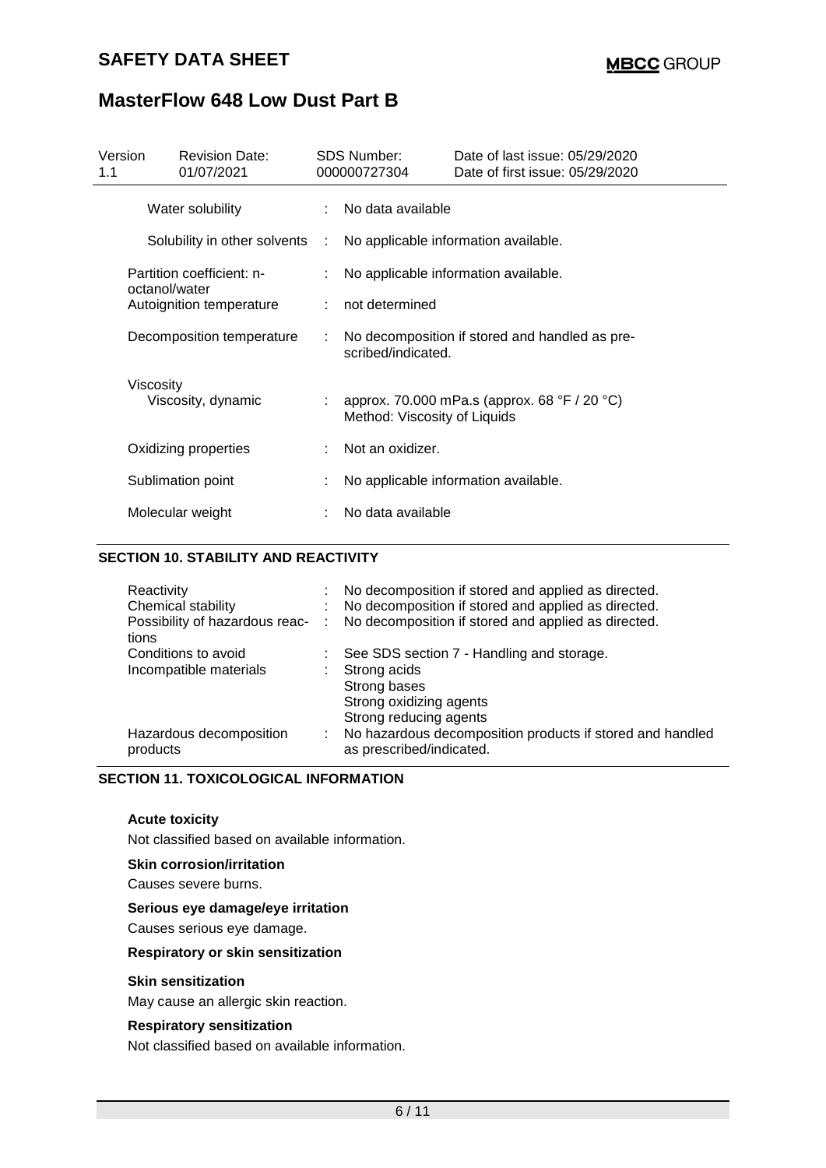## **SAFETY DATA SHEET**

# **MasterFlow 648 Low Dust Part B**

| Version<br>1.1 |                                                                                                     | <b>Revision Date:</b><br>01/07/2021 |                                      | <b>SDS Number:</b><br>000000727304 | Date of last issue: 05/29/2020<br>Date of first issue: 05/29/2020 |  |
|----------------|-----------------------------------------------------------------------------------------------------|-------------------------------------|--------------------------------------|------------------------------------|-------------------------------------------------------------------|--|
|                | Water solubility                                                                                    |                                     |                                      | : No data available                |                                                                   |  |
|                |                                                                                                     | Solubility in other solvents :      |                                      |                                    | No applicable information available.                              |  |
|                | Partition coefficient: n-<br>octanol/water<br>Autoignition temperature<br>Decomposition temperature |                                     | No applicable information available. |                                    |                                                                   |  |
|                |                                                                                                     |                                     |                                      | not determined                     |                                                                   |  |
|                |                                                                                                     |                                     | ÷.                                   | scribed/indicated.                 | No decomposition if stored and handled as pre-                    |  |
|                | Viscosity                                                                                           | Viscosity, dynamic                  | ÷.                                   | Method: Viscosity of Liquids       | approx. 70.000 mPa.s (approx. 68 °F / 20 °C)                      |  |
|                |                                                                                                     | Oxidizing properties                |                                      | Not an oxidizer.                   |                                                                   |  |
|                |                                                                                                     | Sublimation point                   |                                      |                                    | No applicable information available.                              |  |
|                |                                                                                                     | Molecular weight                    |                                      | No data available                  |                                                                   |  |

#### **SECTION 10. STABILITY AND REACTIVITY**

| Reactivity<br>Chemical stability<br>Possibility of hazardous reac-<br>tions | id in | No decomposition if stored and applied as directed.<br>No decomposition if stored and applied as directed.<br>No decomposition if stored and applied as directed. |
|-----------------------------------------------------------------------------|-------|-------------------------------------------------------------------------------------------------------------------------------------------------------------------|
| Conditions to avoid<br>Incompatible materials                               |       | See SDS section 7 - Handling and storage.<br>Strong acids<br>Strong bases<br>Strong oxidizing agents<br>Strong reducing agents                                    |
| Hazardous decomposition<br>products                                         | ÷.    | No hazardous decomposition products if stored and handled<br>as prescribed/indicated.                                                                             |

### **SECTION 11. TOXICOLOGICAL INFORMATION**

#### **Acute toxicity**

Not classified based on available information.

#### **Skin corrosion/irritation**

Causes severe burns.

#### **Serious eye damage/eye irritation**

Causes serious eye damage.

#### **Respiratory or skin sensitization**

#### **Skin sensitization**

May cause an allergic skin reaction.

#### **Respiratory sensitization**

Not classified based on available information.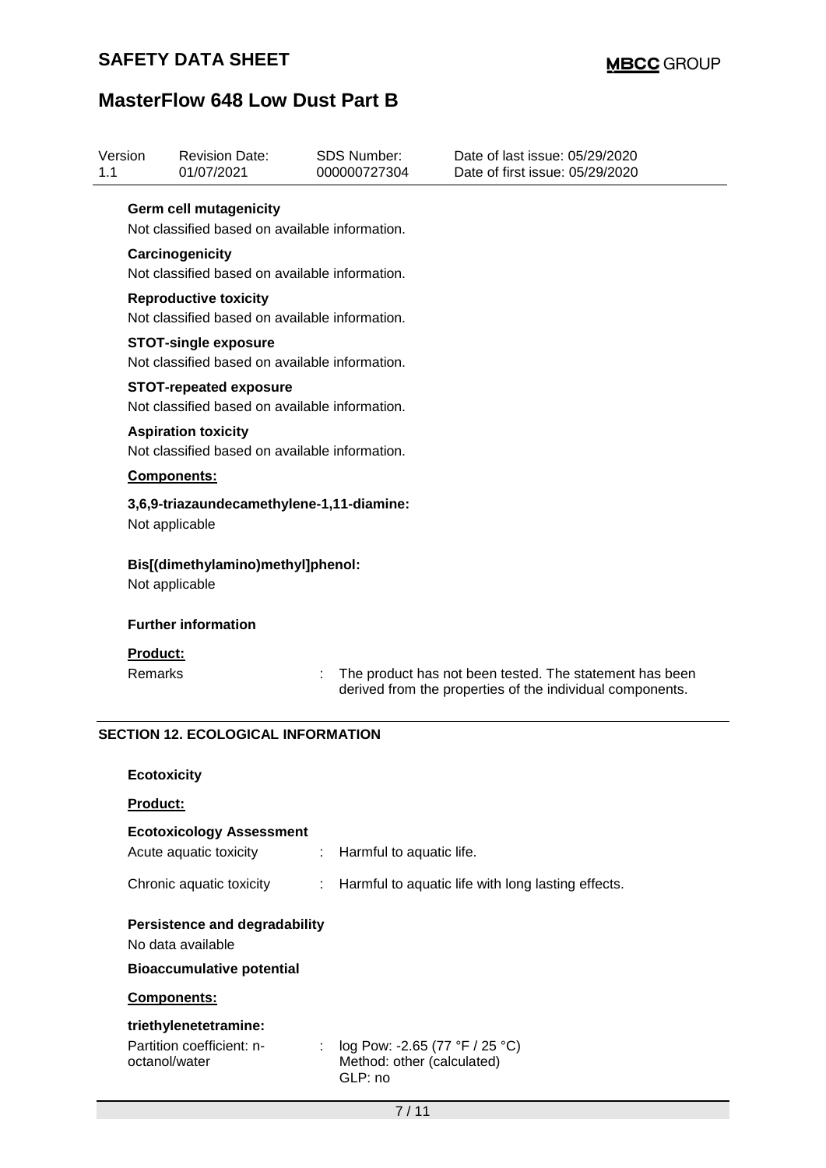## **SAFETY DATA SHEET**

# **MasterFlow 648 Low Dust Part B**

| Version<br>1.1 |                            | <b>Revision Date:</b><br>01/07/2021                                             |   | <b>SDS Number:</b><br>000000727304 | Date of last issue: 05/29/2020<br>Date of first issue: 05/29/2020                                                    |  |  |
|----------------|----------------------------|---------------------------------------------------------------------------------|---|------------------------------------|----------------------------------------------------------------------------------------------------------------------|--|--|
|                |                            | <b>Germ cell mutagenicity</b><br>Not classified based on available information. |   |                                    |                                                                                                                      |  |  |
|                |                            | Carcinogenicity                                                                 |   |                                    |                                                                                                                      |  |  |
|                |                            | Not classified based on available information.                                  |   |                                    |                                                                                                                      |  |  |
|                |                            | <b>Reproductive toxicity</b><br>Not classified based on available information.  |   |                                    |                                                                                                                      |  |  |
|                |                            | <b>STOT-single exposure</b><br>Not classified based on available information.   |   |                                    |                                                                                                                      |  |  |
|                |                            | <b>STOT-repeated exposure</b><br>Not classified based on available information. |   |                                    |                                                                                                                      |  |  |
|                |                            | <b>Aspiration toxicity</b><br>Not classified based on available information.    |   |                                    |                                                                                                                      |  |  |
|                |                            | Components:                                                                     |   |                                    |                                                                                                                      |  |  |
|                | Not applicable             | 3,6,9-triazaundecamethylene-1,11-diamine:                                       |   |                                    |                                                                                                                      |  |  |
|                | Not applicable             | Bis[(dimethylamino)methyl]phenol:                                               |   |                                    |                                                                                                                      |  |  |
|                | <b>Further information</b> |                                                                                 |   |                                    |                                                                                                                      |  |  |
|                | Product:<br><b>Remarks</b> |                                                                                 |   |                                    | The product has not been tested. The statement has been<br>derived from the properties of the individual components. |  |  |
|                |                            | <b>SECTION 12. ECOLOGICAL INFORMATION</b>                                       |   |                                    |                                                                                                                      |  |  |
|                | <b>Ecotoxicity</b>         |                                                                                 |   |                                    |                                                                                                                      |  |  |
|                | Product:                   |                                                                                 |   |                                    |                                                                                                                      |  |  |
|                |                            | <b>Ecotoxicology Assessment</b><br>Acute aquatic toxicity                       | ÷ | Harmful to aquatic life.           |                                                                                                                      |  |  |
|                |                            | Chronic aquatic toxicity                                                        |   |                                    | Harmful to aquatic life with long lasting effects.                                                                   |  |  |
|                |                            | <b>Persistence and degradability</b><br>No data available                       |   |                                    |                                                                                                                      |  |  |
|                |                            | <b>Bioaccumulative potential</b>                                                |   |                                    |                                                                                                                      |  |  |
|                |                            | Components:                                                                     |   |                                    |                                                                                                                      |  |  |
|                |                            | triethylenetetramine:                                                           |   |                                    |                                                                                                                      |  |  |

Partition coefficient: noctanol/water : log Pow: -2.65 (77 °F / 25 °C) Method: other (calculated) GLP: no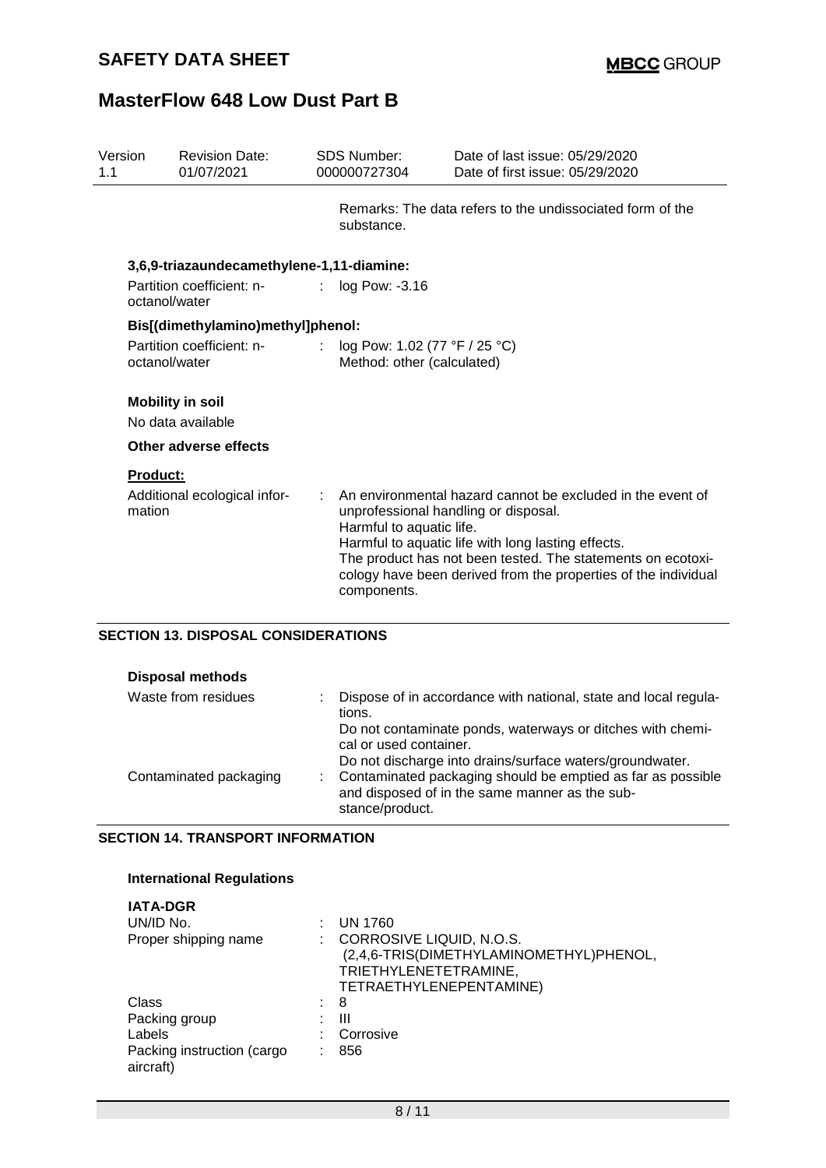| Version<br>1.1                             | <b>Revision Date:</b><br>01/07/2021        | <b>SDS Number:</b><br>000000727304      | Date of last issue: 05/29/2020<br>Date of first issue: 05/29/2020                                                                                                                                                                                                                         |  |  |  |
|--------------------------------------------|--------------------------------------------|-----------------------------------------|-------------------------------------------------------------------------------------------------------------------------------------------------------------------------------------------------------------------------------------------------------------------------------------------|--|--|--|
|                                            |                                            | substance.                              | Remarks: The data refers to the undissociated form of the                                                                                                                                                                                                                                 |  |  |  |
|                                            | 3,6,9-triazaundecamethylene-1,11-diamine:  |                                         |                                                                                                                                                                                                                                                                                           |  |  |  |
|                                            | Partition coefficient: n-<br>octanol/water | log Pow: -3.16                          |                                                                                                                                                                                                                                                                                           |  |  |  |
|                                            | Bis[(dimethylamino)methyl]phenol:          |                                         |                                                                                                                                                                                                                                                                                           |  |  |  |
| Partition coefficient: n-<br>octanol/water |                                            |                                         | log Pow: 1.02 (77 °F / 25 °C)<br>Method: other (calculated)                                                                                                                                                                                                                               |  |  |  |
|                                            | <b>Mobility in soil</b>                    |                                         |                                                                                                                                                                                                                                                                                           |  |  |  |
|                                            | No data available                          |                                         |                                                                                                                                                                                                                                                                                           |  |  |  |
|                                            | Other adverse effects                      |                                         |                                                                                                                                                                                                                                                                                           |  |  |  |
|                                            | Product:                                   |                                         |                                                                                                                                                                                                                                                                                           |  |  |  |
|                                            | Additional ecological infor-<br>mation     | Harmful to aquatic life.<br>components. | An environmental hazard cannot be excluded in the event of<br>unprofessional handling or disposal.<br>Harmful to aquatic life with long lasting effects.<br>The product has not been tested. The statements on ecotoxi-<br>cology have been derived from the properties of the individual |  |  |  |

## **SECTION 13. DISPOSAL CONSIDERATIONS**

| <b>Disposal methods</b> |                                                                                                                                                  |
|-------------------------|--------------------------------------------------------------------------------------------------------------------------------------------------|
| Waste from residues     | Dispose of in accordance with national, state and local regula-<br>tions.                                                                        |
|                         | Do not contaminate ponds, waterways or ditches with chemi-<br>cal or used container.<br>Do not discharge into drains/surface waters/groundwater. |
| Contaminated packaging  | Contaminated packaging should be emptied as far as possible<br>and disposed of in the same manner as the sub-<br>stance/product.                 |

#### **SECTION 14. TRANSPORT INFORMATION**

## **International Regulations**

| <b>IATA-DGR</b><br>UN/ID No.<br>Proper shipping name | ÷ | UN 1760<br>CORROSIVE LIQUID, N.O.S.<br>(2,4,6-TRIS(DIMETHYLAMINOMETHYL)PHENOL,<br>TRIETHYLENETETRAMINE,<br>TETRAETHYLENEPENTAMINE) |
|------------------------------------------------------|---|------------------------------------------------------------------------------------------------------------------------------------|
| Class                                                |   | 8                                                                                                                                  |
| Packing group                                        |   | Ш                                                                                                                                  |
| Labels                                               |   | Corrosive                                                                                                                          |
| Packing instruction (cargo<br>aircraft)              |   | 856                                                                                                                                |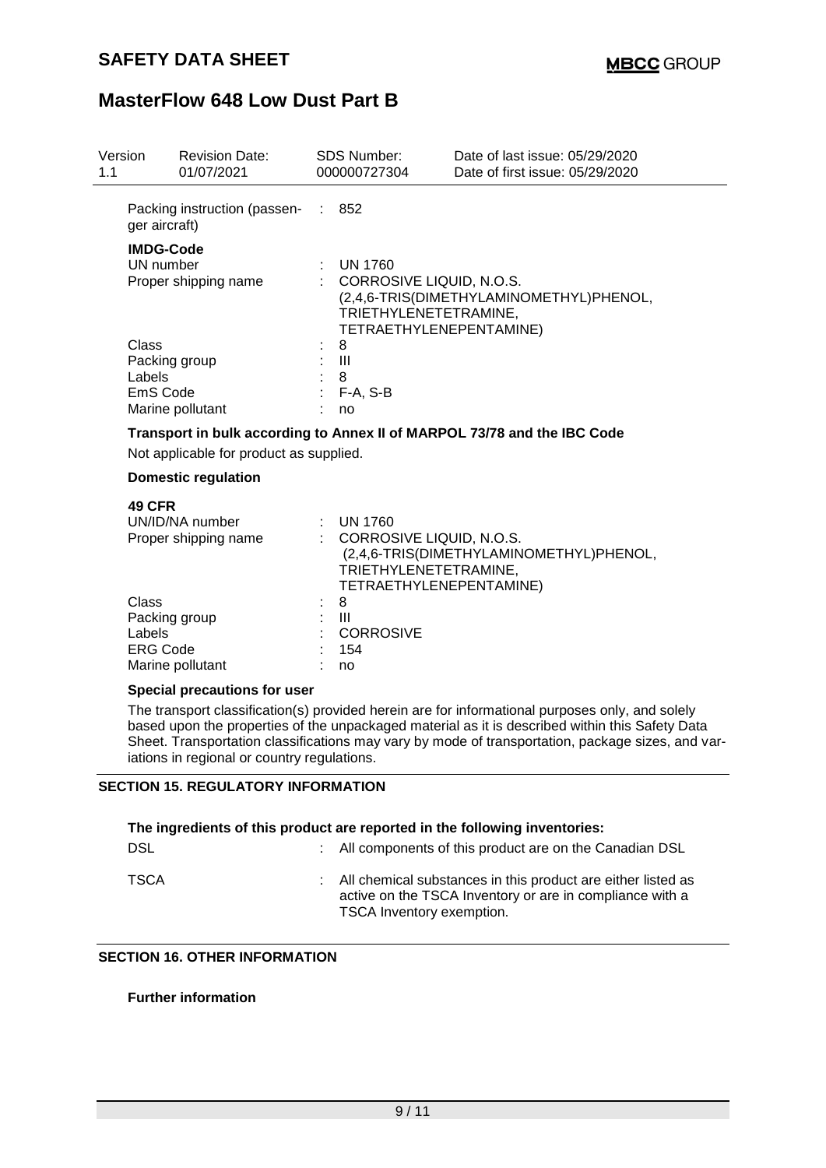| Version<br>1.1 | <b>Revision Date:</b><br>01/07/2021                                                                                 |                     | <b>SDS Number:</b><br>000000727304                                                                                                          | Date of last issue: 05/29/2020<br>Date of first issue: 05/29/2020 |  |  |
|----------------|---------------------------------------------------------------------------------------------------------------------|---------------------|---------------------------------------------------------------------------------------------------------------------------------------------|-------------------------------------------------------------------|--|--|
|                | Packing instruction (passen- : 852<br>ger aircraft)                                                                 |                     |                                                                                                                                             |                                                                   |  |  |
|                | <b>IMDG-Code</b><br>UN number<br>Proper shipping name                                                               |                     | <b>UN 1760</b><br>: CORROSIVE LIQUID, N.O.S.<br>(2,4,6-TRIS(DIMETHYLAMINOMETHYL)PHENOL,<br>TRIETHYLENETETRAMINE,<br>TETRAETHYLENEPENTAMINE) |                                                                   |  |  |
|                | Class<br>Packing group<br>Labels<br>EmS Code<br>Marine pollutant                                                    |                     | F-A, S-B<br>no                                                                                                                              |                                                                   |  |  |
|                | Transport in bulk according to Annex II of MARPOL 73/78 and the IBC Code<br>Not applicable for product as supplied. |                     |                                                                                                                                             |                                                                   |  |  |
|                | <b>Domestic regulation</b>                                                                                          |                     |                                                                                                                                             |                                                                   |  |  |
|                | <b>49 CFR</b><br>UN/ID/NA number<br>Proper shipping name                                                            |                     | : UN 1760<br>: CORROSIVE LIQUID, N.O.S.<br>TRIETHYLENETETRAMINE,<br>TETRAETHYLENEPENTAMINE)                                                 | (2,4,6-TRIS(DIMETHYLAMINOMETHYL)PHENOL,                           |  |  |
| Class          | Packing group<br>Labels<br><b>ERG Code</b><br>Marine pollutant                                                      | 8<br>Ш<br>154<br>no | <b>CORROSIVE</b>                                                                                                                            |                                                                   |  |  |
|                | Snacial pracautions for usar                                                                                        |                     |                                                                                                                                             |                                                                   |  |  |

#### **Special precautions for user**

The transport classification(s) provided herein are for informational purposes only, and solely based upon the properties of the unpackaged material as it is described within this Safety Data Sheet. Transportation classifications may vary by mode of transportation, package sizes, and variations in regional or country regulations.

### **SECTION 15. REGULATORY INFORMATION**

| The ingredients of this product are reported in the following inventories: |  |                                                                                                                                                         |  |  |  |
|----------------------------------------------------------------------------|--|---------------------------------------------------------------------------------------------------------------------------------------------------------|--|--|--|
| <b>DSL</b>                                                                 |  | : All components of this product are on the Canadian DSL                                                                                                |  |  |  |
| TSCA                                                                       |  | : All chemical substances in this product are either listed as<br>active on the TSCA Inventory or are in compliance with a<br>TSCA Inventory exemption. |  |  |  |

## **SECTION 16. OTHER INFORMATION**

#### **Further information**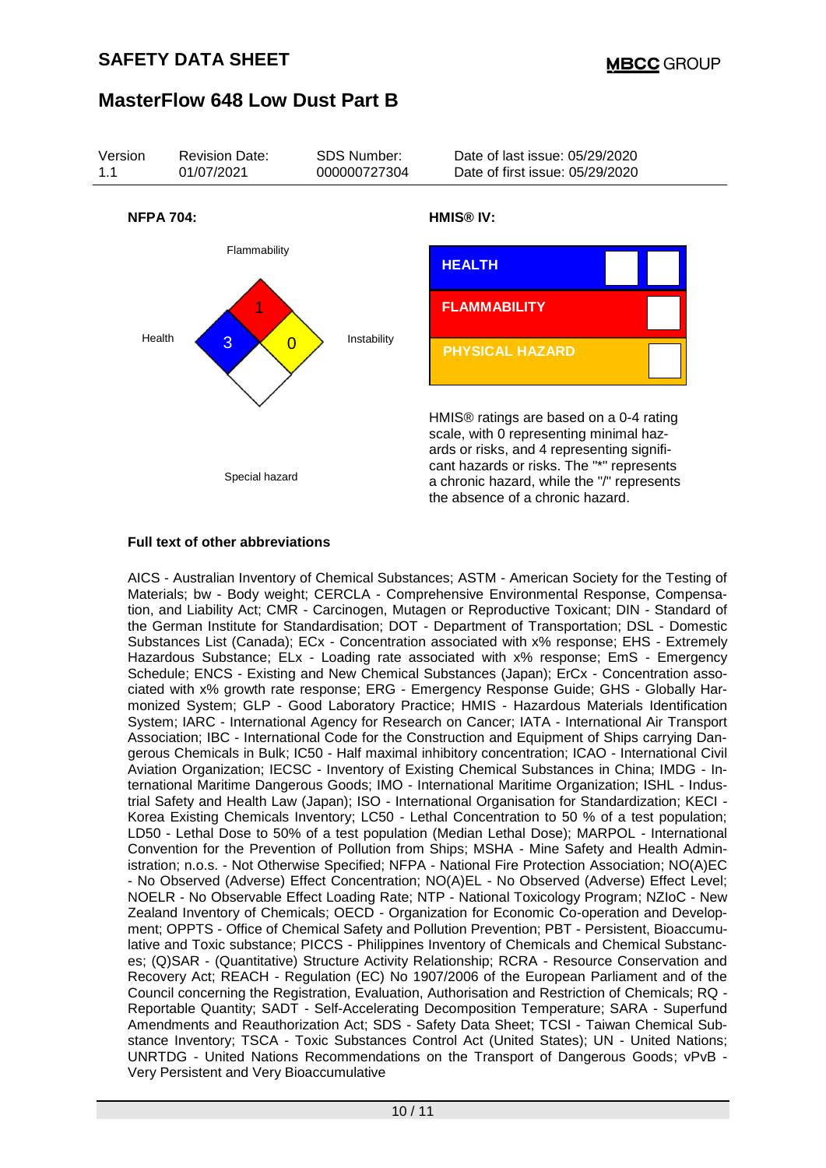

#### **Full text of other abbreviations**

AICS - Australian Inventory of Chemical Substances; ASTM - American Society for the Testing of Materials; bw - Body weight; CERCLA - Comprehensive Environmental Response, Compensation, and Liability Act; CMR - Carcinogen, Mutagen or Reproductive Toxicant; DIN - Standard of the German Institute for Standardisation; DOT - Department of Transportation; DSL - Domestic Substances List (Canada); ECx - Concentration associated with x% response; EHS - Extremely Hazardous Substance; ELx - Loading rate associated with x% response; EmS - Emergency Schedule; ENCS - Existing and New Chemical Substances (Japan); ErCx - Concentration associated with x% growth rate response; ERG - Emergency Response Guide; GHS - Globally Harmonized System; GLP - Good Laboratory Practice; HMIS - Hazardous Materials Identification System; IARC - International Agency for Research on Cancer; IATA - International Air Transport Association; IBC - International Code for the Construction and Equipment of Ships carrying Dangerous Chemicals in Bulk; IC50 - Half maximal inhibitory concentration; ICAO - International Civil Aviation Organization; IECSC - Inventory of Existing Chemical Substances in China; IMDG - International Maritime Dangerous Goods; IMO - International Maritime Organization; ISHL - Industrial Safety and Health Law (Japan); ISO - International Organisation for Standardization; KECI - Korea Existing Chemicals Inventory; LC50 - Lethal Concentration to 50 % of a test population; LD50 - Lethal Dose to 50% of a test population (Median Lethal Dose); MARPOL - International Convention for the Prevention of Pollution from Ships; MSHA - Mine Safety and Health Administration; n.o.s. - Not Otherwise Specified; NFPA - National Fire Protection Association; NO(A)EC - No Observed (Adverse) Effect Concentration; NO(A)EL - No Observed (Adverse) Effect Level; NOELR - No Observable Effect Loading Rate; NTP - National Toxicology Program; NZIoC - New Zealand Inventory of Chemicals; OECD - Organization for Economic Co-operation and Development; OPPTS - Office of Chemical Safety and Pollution Prevention; PBT - Persistent, Bioaccumulative and Toxic substance; PICCS - Philippines Inventory of Chemicals and Chemical Substances; (Q)SAR - (Quantitative) Structure Activity Relationship; RCRA - Resource Conservation and Recovery Act; REACH - Regulation (EC) No 1907/2006 of the European Parliament and of the Council concerning the Registration, Evaluation, Authorisation and Restriction of Chemicals; RQ - Reportable Quantity; SADT - Self-Accelerating Decomposition Temperature; SARA - Superfund Amendments and Reauthorization Act; SDS - Safety Data Sheet; TCSI - Taiwan Chemical Substance Inventory; TSCA - Toxic Substances Control Act (United States); UN - United Nations; UNRTDG - United Nations Recommendations on the Transport of Dangerous Goods; vPvB - Very Persistent and Very Bioaccumulative